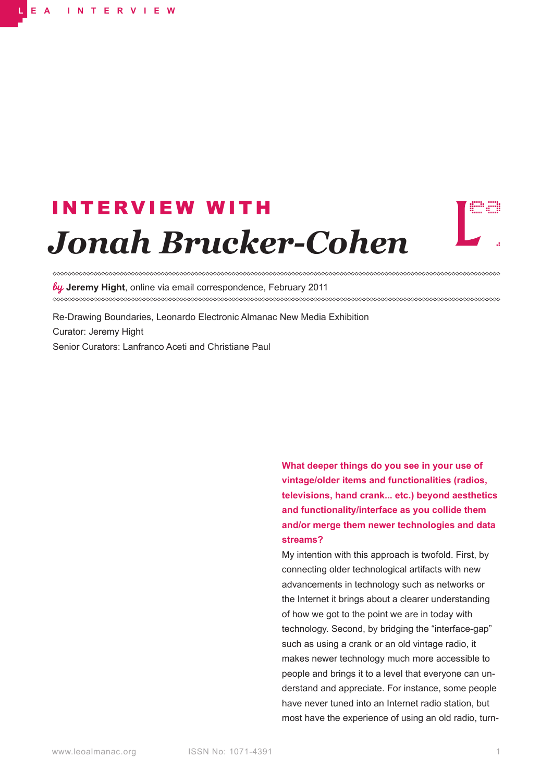# *Jonah Brucker-Cohen* INTERVIEW WITH



**Jeremy Hight**, online via email correspondence, February 2011 

Re-Drawing Boundaries, Leonardo Electronic Almanac New Media Exhibition Curator: Jeremy Hight Senior Curators: Lanfranco Aceti and Christiane Paul

> **What deeper things do you see in your use of vintage/older items and functionalities (radios, televisions, hand crank... etc.) beyond aesthetics and functionality/interface as you collide them and/or merge them newer technologies and data streams?**

> My intention with this approach is twofold. First, by connecting older technological artifacts with new advancements in technology such as networks or the Internet it brings about a clearer understanding of how we got to the point we are in today with technology. Second, by bridging the "interface-gap" such as using a crank or an old vintage radio, it makes newer technology much more accessible to people and brings it to a level that everyone can understand and appreciate. For instance, some people have never tuned into an Internet radio station, but most have the experience of using an old radio, turn-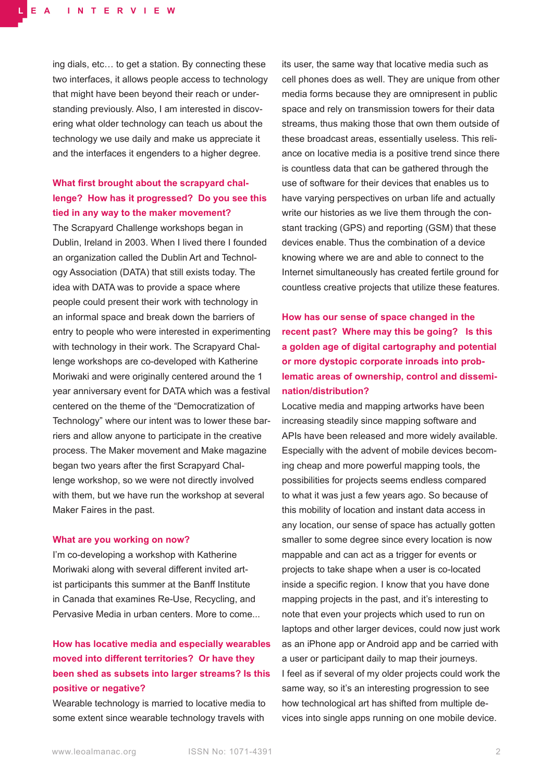ing dials, etc… to get a station. By connecting these two interfaces, it allows people access to technology that might have been beyond their reach or understanding previously. Also, I am interested in discovering what older technology can teach us about the technology we use daily and make us appreciate it and the interfaces it engenders to a higher degree.

## **What first brought about the scrapyard challenge? How has it progressed? Do you see this tied in any way to the maker movement?**

The Scrapyard Challenge workshops began in Dublin, Ireland in 2003. When I lived there I founded an organization called the Dublin Art and Technology Association (DATA) that still exists today. The idea with DATA was to provide a space where people could present their work with technology in an informal space and break down the barriers of entry to people who were interested in experimenting with technology in their work. The Scrapyard Challenge workshops are co-developed with Katherine Moriwaki and were originally centered around the 1 year anniversary event for DATA which was a festival centered on the theme of the "Democratization of Technology" where our intent was to lower these barriers and allow anyone to participate in the creative process. The Maker movement and Make magazine began two years after the first Scrapyard Challenge workshop, so we were not directly involved with them, but we have run the workshop at several Maker Faires in the past.

#### **What are you working on now?**

I'm co-developing a workshop with Katherine Moriwaki along with several different invited artist participants this summer at the Banff Institute in Canada that examines Re-Use, Recycling, and Pervasive Media in urban centers. More to come...

## **How has locative media and especially wearables moved into different territories? Or have they been shed as subsets into larger streams? Is this positive or negative?**

Wearable technology is married to locative media to some extent since wearable technology travels with

its user, the same way that locative media such as cell phones does as well. They are unique from other media forms because they are omnipresent in public space and rely on transmission towers for their data streams, thus making those that own them outside of these broadcast areas, essentially useless. This reliance on locative media is a positive trend since there is countless data that can be gathered through the use of software for their devices that enables us to have varying perspectives on urban life and actually write our histories as we live them through the constant tracking (GPS) and reporting (GSM) that these devices enable. Thus the combination of a device knowing where we are and able to connect to the Internet simultaneously has created fertile ground for countless creative projects that utilize these features.

**How has our sense of space changed in the recent past? Where may this be going? Is this a golden age of digital cartography and potential or more dystopic corporate inroads into problematic areas of ownership, control and dissemination/distribution?**

Locative media and mapping artworks have been increasing steadily since mapping software and APIs have been released and more widely available. Especially with the advent of mobile devices becoming cheap and more powerful mapping tools, the possibilities for projects seems endless compared to what it was just a few years ago. So because of this mobility of location and instant data access in any location, our sense of space has actually gotten smaller to some degree since every location is now mappable and can act as a trigger for events or projects to take shape when a user is co-located inside a specific region. I know that you have done mapping projects in the past, and it's interesting to note that even your projects which used to run on laptops and other larger devices, could now just work as an iPhone app or Android app and be carried with a user or participant daily to map their journeys. I feel as if several of my older projects could work the same way, so it's an interesting progression to see how technological art has shifted from multiple devices into single apps running on one mobile device.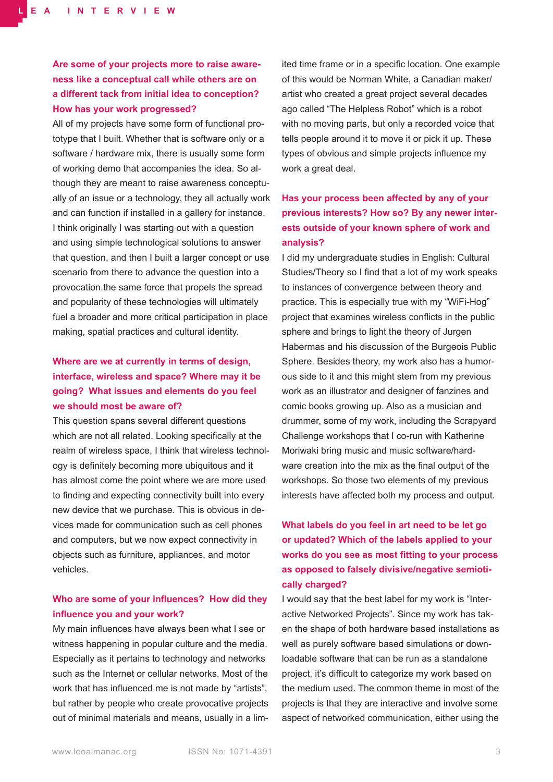# **Are some of your projects more to raise awareness like a conceptual call while others are on a different tack from initial idea to conception? How has your work progressed?**

All of my projects have some form of functional prototype that I built. Whether that is software only or a software / hardware mix, there is usually some form of working demo that accompanies the idea. So although they are meant to raise awareness conceptually of an issue or a technology, they all actually work and can function if installed in a gallery for instance. I think originally I was starting out with a question and using simple technological solutions to answer that question, and then I built a larger concept or use scenario from there to advance the question into a provocation.the same force that propels the spread and popularity of these technologies will ultimately fuel a broader and more critical participation in place making, spatial practices and cultural identity.

## **Where are we at currently in terms of design, interface, wireless and space? Where may it be going? What issues and elements do you feel we should most be aware of?**

This question spans several different questions which are not all related. Looking specifically at the realm of wireless space, I think that wireless technology is definitely becoming more ubiquitous and it has almost come the point where we are more used to finding and expecting connectivity built into every new device that we purchase. This is obvious in devices made for communication such as cell phones and computers, but we now expect connectivity in objects such as furniture, appliances, and motor vehicles.

### **Who are some of your influences? How did they influence you and your work?**

My main influences have always been what I see or witness happening in popular culture and the media. Especially as it pertains to technology and networks such as the Internet or cellular networks. Most of the work that has influenced me is not made by "artists", but rather by people who create provocative projects out of minimal materials and means, usually in a limited time frame or in a specific location. One example of this would be Norman White, a Canadian maker/ artist who created a great project several decades ago called "The Helpless Robot" which is a robot with no moving parts, but only a recorded voice that tells people around it to move it or pick it up. These types of obvious and simple projects influence my work a great deal.

# **Has your process been affected by any of your previous interests? How so? By any newer interests outside of your known sphere of work and analysis?**

I did my undergraduate studies in English: Cultural Studies/Theory so I find that a lot of my work speaks to instances of convergence between theory and practice. This is especially true with my "WiFi-Hog" project that examines wireless conflicts in the public sphere and brings to light the theory of Jurgen Habermas and his discussion of the Burgeois Public Sphere. Besides theory, my work also has a humorous side to it and this might stem from my previous work as an illustrator and designer of fanzines and comic books growing up. Also as a musician and drummer, some of my work, including the Scrapyard Challenge workshops that I co-run with Katherine Moriwaki bring music and music software/hardware creation into the mix as the final output of the workshops. So those two elements of my previous interests have affected both my process and output.

# **What labels do you feel in art need to be let go or updated? Which of the labels applied to your works do you see as most fitting to your process as opposed to falsely divisive/negative semiotically charged?**

I would say that the best label for my work is "Interactive Networked Projects". Since my work has taken the shape of both hardware based installations as well as purely software based simulations or downloadable software that can be run as a standalone project, it's difficult to categorize my work based on the medium used. The common theme in most of the projects is that they are interactive and involve some aspect of networked communication, either using the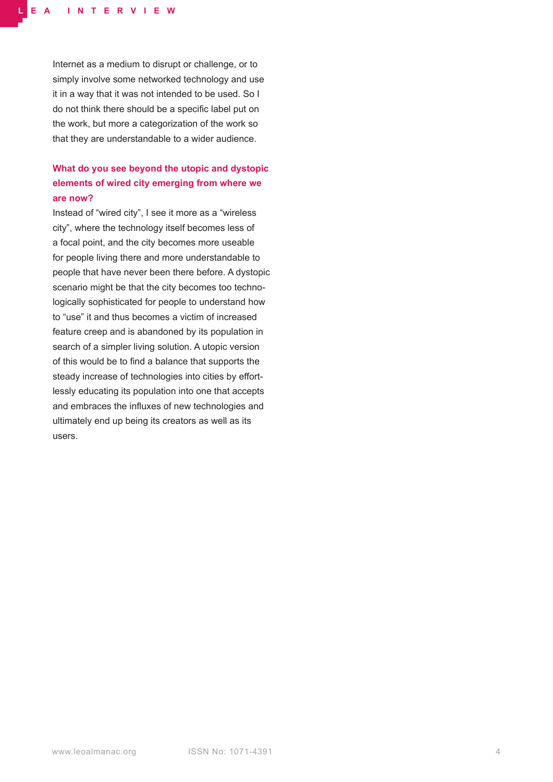Internet as a medium to disrupt or challenge, or to simply involve some networked technology and use it in a way that it was not intended to be used. So I do not think there should be a specific label put on the work, but more a categorization of the work so that they are understandable to a wider audience.

## **What do you see beyond the utopic and dystopic elements of wired city emerging from where we are now?**

Instead of "wired city", I see it more as a "wireless city", where the technology itself becomes less of a focal point, and the city becomes more useable for people living there and more understandable to people that have never been there before. A dystopic scenario might be that the city becomes too technologically sophisticated for people to understand how to "use" it and thus becomes a victim of increased feature creep and is abandoned by its population in search of a simpler living solution. A utopic version of this would be to find a balance that supports the steady increase of technologies into cities by effortlessly educating its population into one that accepts and embraces the influxes of new technologies and ultimately end up being its creators as well as its users.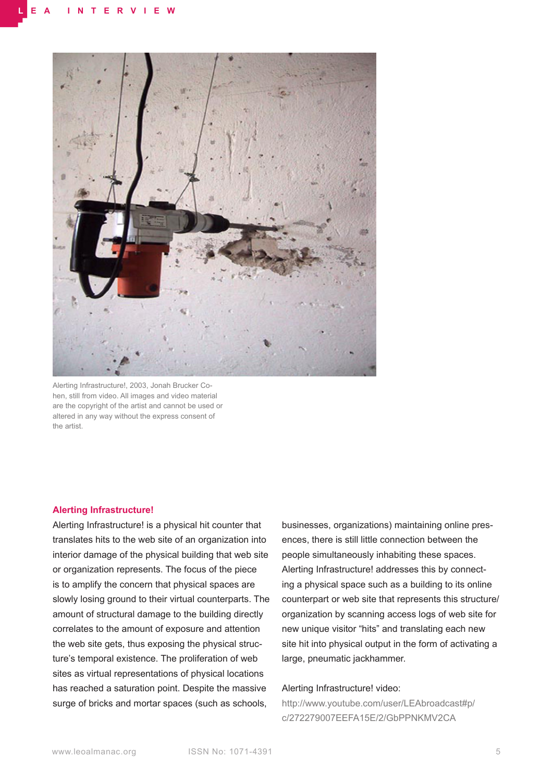

Alerting Infrastructure!, 2003, Jonah Brucker Cohen, still from video. All images and video material are the copyright of the artist and cannot be used or altered in any way without the express consent of the artist.

#### **Alerting Infrastructure!**

Alerting Infrastructure! is a physical hit counter that translates hits to the web site of an organization into interior damage of the physical building that web site or organization represents. The focus of the piece is to amplify the concern that physical spaces are slowly losing ground to their virtual counterparts. The amount of structural damage to the building directly correlates to the amount of exposure and attention the web site gets, thus exposing the physical structure's temporal existence. The proliferation of web sites as virtual representations of physical locations has reached a saturation point. Despite the massive surge of bricks and mortar spaces (such as schools,

businesses, organizations) maintaining online presences, there is still little connection between the people simultaneously inhabiting these spaces. Alerting Infrastructure! addresses this by connecting a physical space such as a building to its online counterpart or web site that represents this structure/ organization by scanning access logs of web site for new unique visitor "hits" and translating each new site hit into physical output in the form of activating a large, pneumatic jackhammer.

#### Alerting Infrastructure! video:

[http://www.youtube.com/user/LEAbroadcast#p/](http://www.youtube.com/user/LEAbroadcast#p/c/272279007EEFA15E/2/GbPPNKMV2CA) [c/272279007EEFA15E/2/GbPPNKMV2CA](http://www.youtube.com/user/LEAbroadcast#p/c/272279007EEFA15E/2/GbPPNKMV2CA)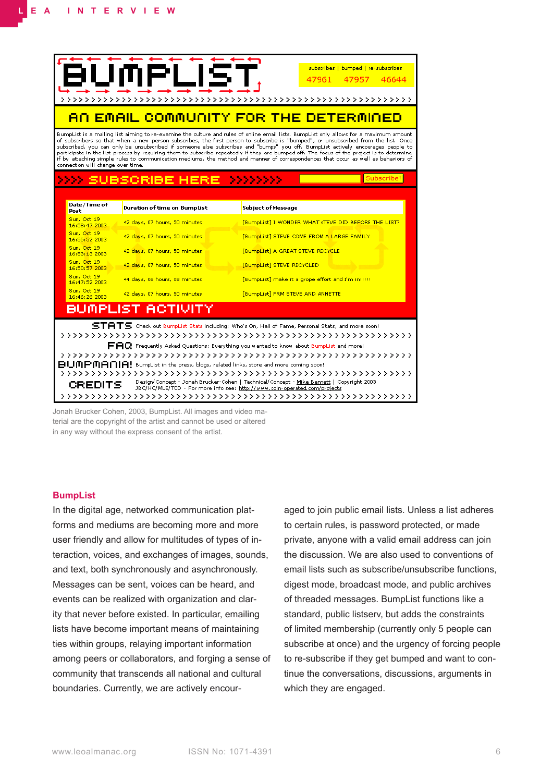| subscribes   bumped   re-subscribes<br>47961<br>46644<br>47957<br><u>AN EMAIL COMMUNITY FOR THE DETERMINED</u>                                                                                                                                                                                                                                                                                                                                                                                                                                                                                                                                                                                                                                         |                               |                                                     |
|--------------------------------------------------------------------------------------------------------------------------------------------------------------------------------------------------------------------------------------------------------------------------------------------------------------------------------------------------------------------------------------------------------------------------------------------------------------------------------------------------------------------------------------------------------------------------------------------------------------------------------------------------------------------------------------------------------------------------------------------------------|-------------------------------|-----------------------------------------------------|
| BumpList is a mailing list aiming to re-examine the culture and rules of online email lists. BumpList only allows for a maximum amount<br>of subscribers so that when a new person subscribes, the first person to subscribe is "bumped", or unsubscribed from the list. Once<br>subscribed, you can only be unsubscribed if someone else subscribes and "bumps" you off. BumpList actively encourages people to<br>participate in the list process by requiring them to subscribe repeatedly if they are bumped off. The focus of the project is to determine<br>if by attaching simple rules to communication mediums, the method and manner of correspondences that occur as well as behaviors of<br>connection will change over time.<br>Subscribe |                               |                                                     |
|                                                                                                                                                                                                                                                                                                                                                                                                                                                                                                                                                                                                                                                                                                                                                        |                               |                                                     |
| Date/Time of<br>Post                                                                                                                                                                                                                                                                                                                                                                                                                                                                                                                                                                                                                                                                                                                                   | Duration of time on BumpList  | <b>Subject of Message</b>                           |
| Sun, Oct 19<br>16:58:47 2003                                                                                                                                                                                                                                                                                                                                                                                                                                                                                                                                                                                                                                                                                                                           | 42 days, 07 hours, 50 minutes | [BumpList] I WONDER WHAT STEVE DID BEFORE THE LIST? |
| Sun, Oct 19<br>16:55:52 2003                                                                                                                                                                                                                                                                                                                                                                                                                                                                                                                                                                                                                                                                                                                           | 42 days, 07 hours, 50 minutes | [BumpList] STEVE COME FROM A LARGE FAMILY           |
| Sun, Oct 19<br>16:53:13 2003                                                                                                                                                                                                                                                                                                                                                                                                                                                                                                                                                                                                                                                                                                                           | 42 days, 07 hours, 50 minutes | [BumpList] A GREAT STEVE RECYCLE                    |
| Sun, Oct 19<br>16:50:57 2003                                                                                                                                                                                                                                                                                                                                                                                                                                                                                                                                                                                                                                                                                                                           | 42 days, 07 hours, 50 minutes | [BumpList] STEVE RECYCLED                           |
| Sun, Oct 19<br>16:47:52 2003                                                                                                                                                                                                                                                                                                                                                                                                                                                                                                                                                                                                                                                                                                                           | 44 days, 06 hours, 08 minutes | [BumpList] make it a grope effort and I'm in!!!!!   |
| Sun, Oct 19<br>16:46:26 2003                                                                                                                                                                                                                                                                                                                                                                                                                                                                                                                                                                                                                                                                                                                           | 42 days, 07 hours, 50 minutes | [BumpList] FRM STEVE AND ANNETTE                    |
| BUMPLIST ACTIVITY                                                                                                                                                                                                                                                                                                                                                                                                                                                                                                                                                                                                                                                                                                                                      |                               |                                                     |
| $ST \fbox{HTS}$ Check out BumpList Stats including: Who's On, Hall of Fame, Personal Stats, and more soon!<br>$\mathbf{F}\mathbf{H}\mathbf{Q}$ Frequently Asked Questions: Everything you wanted to know about BumpList and more!                                                                                                                                                                                                                                                                                                                                                                                                                                                                                                                      |                               |                                                     |
| $\mathbf{B}\mathbf{U}$ (MPM $\mathbf{H}\mathbf{H}$ ). BumpList in the press, blogs, related links, store and more coming soon!                                                                                                                                                                                                                                                                                                                                                                                                                                                                                                                                                                                                                         |                               |                                                     |
| Design/Concept - Jonah Brucker-Cohen   Technical/Concept - Mike Bennett   Copyright 2003                                                                                                                                                                                                                                                                                                                                                                                                                                                                                                                                                                                                                                                               |                               |                                                     |
| CREDITS<br>JBC/HC/MLE/TCD - For more info see: http://www.coin-operated.com/projects                                                                                                                                                                                                                                                                                                                                                                                                                                                                                                                                                                                                                                                                   |                               |                                                     |
|                                                                                                                                                                                                                                                                                                                                                                                                                                                                                                                                                                                                                                                                                                                                                        |                               |                                                     |

Jonah Brucker Cohen, 2003, BumpList. All images and video material are the copyright of the artist and cannot be used or altered in any way without the express consent of the artist.

#### **BumpList**

In the digital age, networked communication platforms and mediums are becoming more and more user friendly and allow for multitudes of types of interaction, voices, and exchanges of images, sounds, and text, both synchronously and asynchronously. Messages can be sent, voices can be heard, and events can be realized with organization and clarity that never before existed. In particular, emailing lists have become important means of maintaining ties within groups, relaying important information among peers or collaborators, and forging a sense of community that transcends all national and cultural boundaries. Currently, we are actively encouraged to join public email lists. Unless a list adheres to certain rules, is password protected, or made private, anyone with a valid email address can join the discussion. We are also used to conventions of email lists such as subscribe/unsubscribe functions, digest mode, broadcast mode, and public archives of threaded messages. BumpList functions like a standard, public listserv, but adds the constraints of limited membership (currently only 5 people can subscribe at once) and the urgency of forcing people to re-subscribe if they get bumped and want to continue the conversations, discussions, arguments in which they are engaged.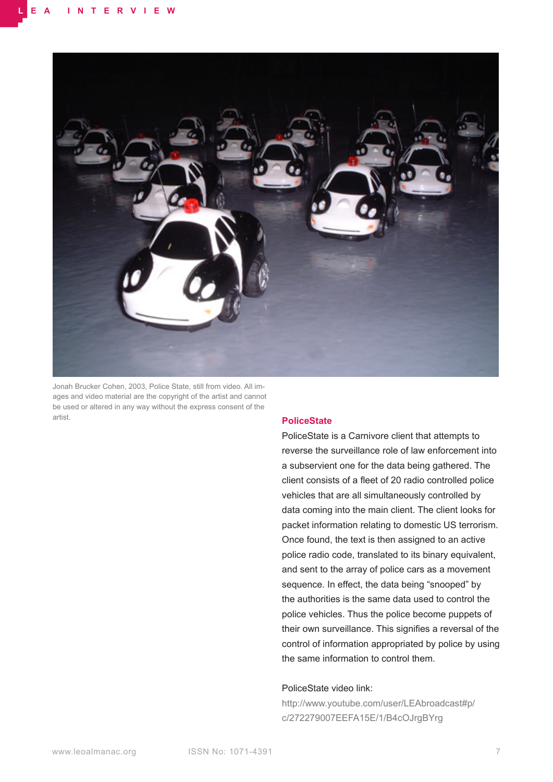

Jonah Brucker Cohen, 2003, Police State, still from video. All images and video material are the copyright of the artist and cannot be used or altered in any way without the express consent of the artist.

#### **PoliceState**

PoliceState is a Carnivore client that attempts to reverse the surveillance role of law enforcement into a subservient one for the data being gathered. The client consists of a fleet of 20 radio controlled police vehicles that are all simultaneously controlled by data coming into the main client. The client looks for packet information relating to domestic US terrorism. Once found, the text is then assigned to an active police radio code, translated to its binary equivalent, and sent to the array of police cars as a movement sequence. In effect, the data being "snooped" by the authorities is the same data used to control the police vehicles. Thus the police become puppets of their own surveillance. This signifies a reversal of the control of information appropriated by police by using the same information to control them.

#### PoliceState video link:

[http://www.youtube.com/user/LEAbroadcast#p/](http://www.youtube.com/user/LEAbroadcast#p/c/272279007EEFA15E/1/B4cOJrgBYrg) [c/272279007EEFA15E/1/B4cOJrgBYr](http://www.youtube.com/user/LEAbroadcast#p/c/272279007EEFA15E/1/B4cOJrgBYrg)g